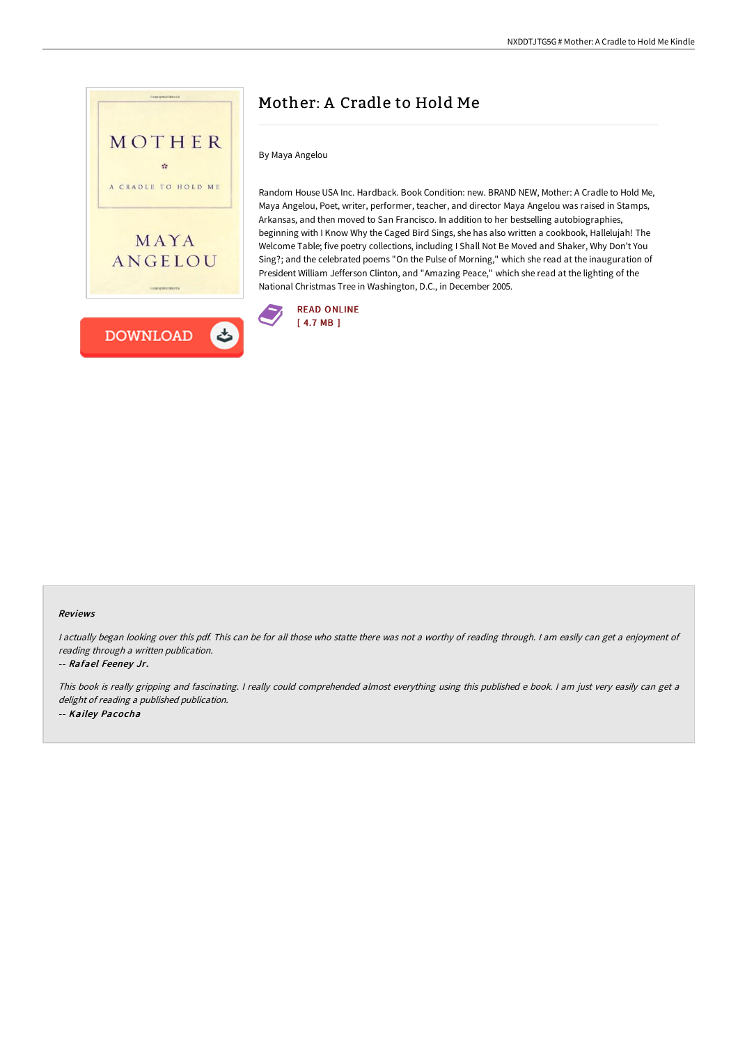

# Mother: A Cradle to Hold Me

#### By Maya Angelou

Random House USA Inc. Hardback. Book Condition: new. BRAND NEW, Mother: A Cradle to Hold Me, Maya Angelou, Poet, writer, performer, teacher, and director Maya Angelou was raised in Stamps, Arkansas, and then moved to San Francisco. In addition to her bestselling autobiographies, beginning with I Know Why the Caged Bird Sings, she has also written a cookbook, Hallelujah! The Welcome Table; five poetry collections, including I Shall Not Be Moved and Shaker, Why Don't You Sing?; and the celebrated poems "On the Pulse of Morning," which she read at the inauguration of President William Jefferson Clinton, and "Amazing Peace," which she read at the lighting of the National Christmas Tree in Washington, D.C., in December 2005.



#### Reviews

<sup>I</sup> actually began looking over this pdf. This can be for all those who statte there was not <sup>a</sup> worthy of reading through. <sup>I</sup> am easily can get <sup>a</sup> enjoyment of reading through <sup>a</sup> written publication.

#### -- Rafael Feeney Jr.

This book is really gripping and fascinating. <sup>I</sup> really could comprehended almost everything using this published <sup>e</sup> book. <sup>I</sup> am just very easily can get <sup>a</sup> delight of reading <sup>a</sup> published publication. -- Kailey Pacocha